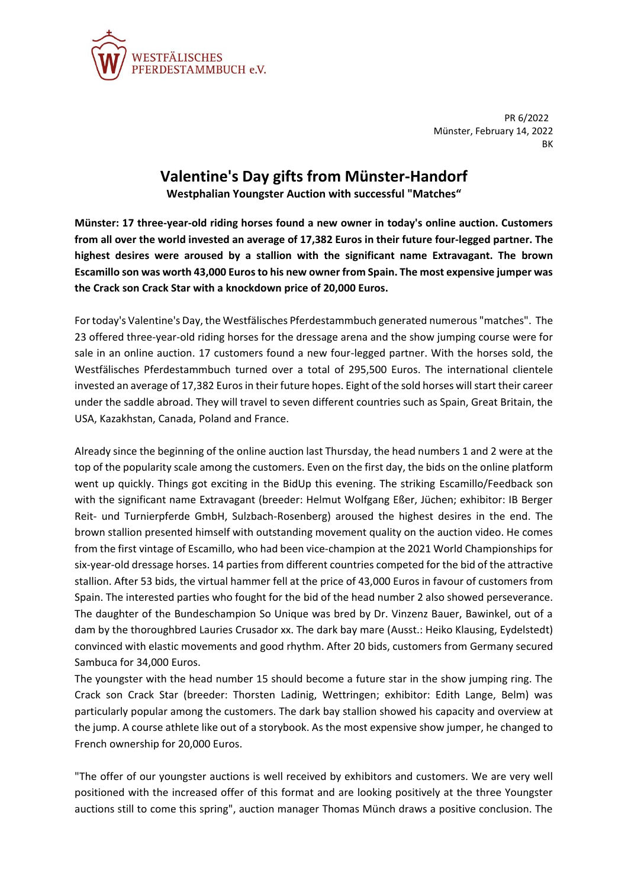

PR 6/2022 Münster, February 14, 2022 BK

## **Valentine's Day gifts from Münster-Handorf**

**Westphalian Youngster Auction with successful "Matches"**

**Münster: 17 three-year-old riding horses found a new owner in today's online auction. Customers from all over the world invested an average of 17,382 Euros in their future four-legged partner. The highest desires were aroused by a stallion with the significant name Extravagant. The brown Escamillo son was worth 43,000 Euros to his new owner from Spain. The most expensive jumper was the Crack son Crack Star with a knockdown price of 20,000 Euros.**

For today's Valentine's Day, the Westfälisches Pferdestammbuch generated numerous "matches". The 23 offered three-year-old riding horses for the dressage arena and the show jumping course were for sale in an online auction. 17 customers found a new four-legged partner. With the horses sold, the Westfälisches Pferdestammbuch turned over a total of 295,500 Euros. The international clientele invested an average of 17,382 Euros in their future hopes. Eight of the sold horses will start their career under the saddle abroad. They will travel to seven different countries such as Spain, Great Britain, the USA, Kazakhstan, Canada, Poland and France.

Already since the beginning of the online auction last Thursday, the head numbers 1 and 2 were at the top of the popularity scale among the customers. Even on the first day, the bids on the online platform went up quickly. Things got exciting in the BidUp this evening. The striking Escamillo/Feedback son with the significant name Extravagant (breeder: Helmut Wolfgang Eßer, Jüchen; exhibitor: IB Berger Reit- und Turnierpferde GmbH, Sulzbach-Rosenberg) aroused the highest desires in the end. The brown stallion presented himself with outstanding movement quality on the auction video. He comes from the first vintage of Escamillo, who had been vice-champion at the 2021 World Championships for six-year-old dressage horses. 14 parties from different countries competed for the bid of the attractive stallion. After 53 bids, the virtual hammer fell at the price of 43,000 Euros in favour of customers from Spain. The interested parties who fought for the bid of the head number 2 also showed perseverance. The daughter of the Bundeschampion So Unique was bred by Dr. Vinzenz Bauer, Bawinkel, out of a dam by the thoroughbred Lauries Crusador xx. The dark bay mare (Ausst.: Heiko Klausing, Eydelstedt) convinced with elastic movements and good rhythm. After 20 bids, customers from Germany secured Sambuca for 34,000 Euros.

The youngster with the head number 15 should become a future star in the show jumping ring. The Crack son Crack Star (breeder: Thorsten Ladinig, Wettringen; exhibitor: Edith Lange, Belm) was particularly popular among the customers. The dark bay stallion showed his capacity and overview at the jump. A course athlete like out of a storybook. As the most expensive show jumper, he changed to French ownership for 20,000 Euros.

"The offer of our youngster auctions is well received by exhibitors and customers. We are very well positioned with the increased offer of this format and are looking positively at the three Youngster auctions still to come this spring", auction manager Thomas Münch draws a positive conclusion. The